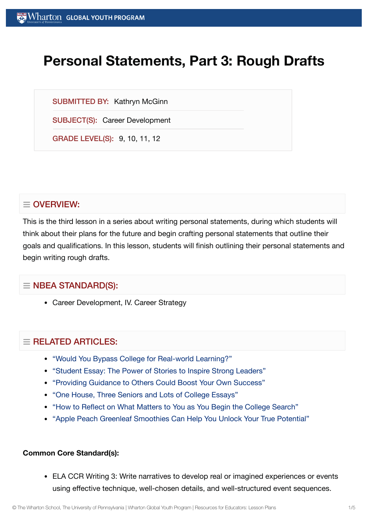# **Personal Statements, Part 3: Rough Drafts**

SUBMITTED BY: Kathryn McGinn

SUBJECT(S): Career Development

GRADE LEVEL(S): 9, 10, 11, 12

## $\equiv$  OVERVIEW:

This is the third lesson in a series about writing personal statements, during which students will think about their plans for the future and begin crafting personal statements that outline their goals and qualifications. In this lesson, students will finish outlining their personal statements and begin writing rough drafts.

## $\equiv$  NBEA STANDARD(S):

Career Development, IV. Career Strategy

## $=$  RELATED ARTICLES:

- "Would You [Bypass College](https://globalyouth.wharton.upenn.edu/articles/bypass-college-for-real-world-learning/) for Real-world Learning?"
- "Student Essay: The Power of [Stories to](https://globalyouth.wharton.upenn.edu/articles/student-essay-power-stories-inspire-strong-leaders/) Inspire Strong Leaders"
- "Providing Guidance to [Others Could](https://globalyouth.wharton.upenn.edu/articles/share-guidance-boost-success/) Boost Your Own Success"
- "One House, Three [Seniors and](https://globalyouth.wharton.upenn.edu/articles/one-house-three-seniors-lots-college-essays/) Lots of College Essays"
- "How to Reflect on What [Matters to](https://globalyouth.wharton.upenn.edu/articles/how-to-reflect-on-what-matters-to-you-as-begin-college-search/) You as You Begin the College Search"
- "Apple Peach Greenleaf [Smoothies Can](https://globalyouth.wharton.upenn.edu/articles/apple-peach-greenleaf-smoothies-can-help-unlock-true-potential/) Help You Unlock Your True Potential"

#### **Common Core Standard(s):**

ELA CCR Writing 3: Write narratives to develop real or imagined experiences or events using effective technique, well-chosen details, and well-structured event sequences.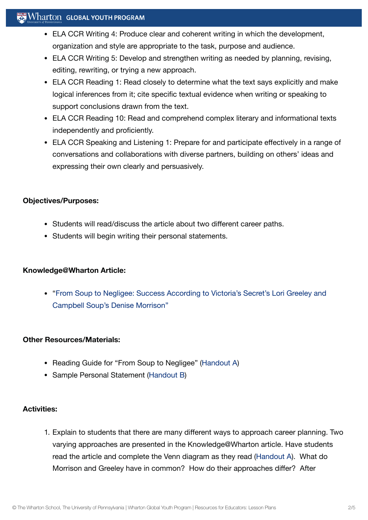## $\mathbb{R}^n$  Wharton Global Youth Program

- ELA CCR Writing 4: Produce clear and coherent writing in which the development, organization and style are appropriate to the task, purpose and audience.
- ELA CCR Writing 5: Develop and strengthen writing as needed by planning, revising, editing, rewriting, or trying a new approach.
- ELA CCR Reading 1: Read closely to determine what the text says explicitly and make logical inferences from it; cite specific textual evidence when writing or speaking to support conclusions drawn from the text.
- ELA CCR Reading 10: Read and comprehend complex literary and informational texts independently and proficiently.
- ELA CCR Speaking and Listening 1: Prepare for and participate effectively in a range of conversations and collaborations with diverse partners, building on others' ideas and expressing their own clearly and persuasively.

#### **Objectives/Purposes:**

- Students will read/discuss the article about two different career paths.
- Students will begin writing their personal statements.

#### **Knowledge@Wharton Article:**

"From Soup to Negligee: Success According to [Victoria's Secret's Lori](http://knowledge.wharton.upenn.edu/article.cfm?articleid=2724) Greeley and Campbell Soup's Denise Morrison"

#### **Other Resources/Materials:**

- Reading Guide for "From Soup to Negligee" [\(Handout](https://globalyouth.wharton.upenn.edu/wp-content/uploads/2012/01/Career-Development-17_Caree.handoutA.pdf) A)
- Sample Personal Statement [\(Handout](https://globalyouth.wharton.upenn.edu/wp-content/uploads/2012/01/Career-Development-17_samplepersonalstatement.pdf) B)

#### **Activities:**

1. Explain to students that there are many different ways to approach career planning. Two varying approaches are presented in the Knowledge@Wharton article. Have students read the article and complete the Venn diagram as they read [\(Handout](https://globalyouth.wharton.upenn.edu/wp-content/uploads/2012/01/Career-Development-17_Caree.handoutA.pdf) A). What do Morrison and Greeley have in common? How do their approaches differ? After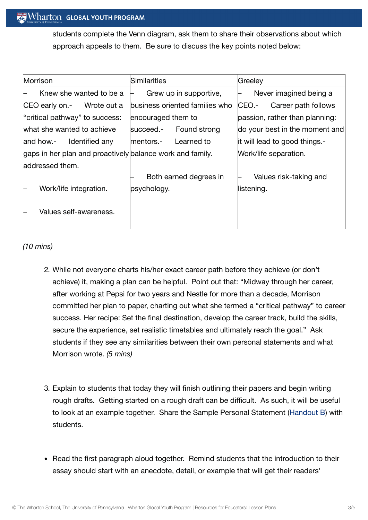students complete the Venn diagram, ask them to share their observations about which approach appeals to them. Be sure to discuss the key points noted below:

| Morrison                                                  | Similarities                   | Greeley                        |
|-----------------------------------------------------------|--------------------------------|--------------------------------|
| Knew she wanted to be a                                   | Grew up in supportive,         | Never imagined being a         |
| Wrote out a<br>CEO early on.-                             | business oriented families who | CEO.-<br>Career path follows   |
| "critical pathway" to success:                            | encouraged them to             | passion, rather than planning: |
| what she wanted to achieve                                | Found strong<br>succeed.-      | do your best in the moment and |
| Identified any<br>and how.-                               | Learned to<br>lmentors.-       | it will lead to good things.-  |
| gaps in her plan and proactively balance work and family. |                                | Work/life separation.          |
| laddressed them.                                          |                                |                                |
|                                                           | Both earned degrees in         | Values risk-taking and         |
| Work/life integration.                                    | psychology.                    | listening.                     |
|                                                           |                                |                                |
| Values self-awareness.                                    |                                |                                |
|                                                           |                                |                                |

*(10 mins)*

- 2. While not everyone charts his/her exact career path before they achieve (or don't achieve) it, making a plan can be helpful. Point out that: "Midway through her career, after working at Pepsi for two years and Nestle for more than a decade, Morrison committed her plan to paper, charting out what she termed a "critical pathway" to career success. Her recipe: Set the final destination, develop the career track, build the skills, secure the experience, set realistic timetables and ultimately reach the goal." Ask students if they see any similarities between their own personal statements and what Morrison wrote. *(5 mins)*
- 3. Explain to students that today they will finish outlining their papers and begin writing rough drafts. Getting started on a rough draft can be difficult. As such, it will be useful to look at an example together. Share the Sample Personal Statement [\(Handout](https://globalyouth.wharton.upenn.edu/wp-content/uploads/2012/01/Career-Development-17_samplepersonalstatement.pdf) B) with students.
- Read the first paragraph aloud together. Remind students that the introduction to their essay should start with an anecdote, detail, or example that will get their readers'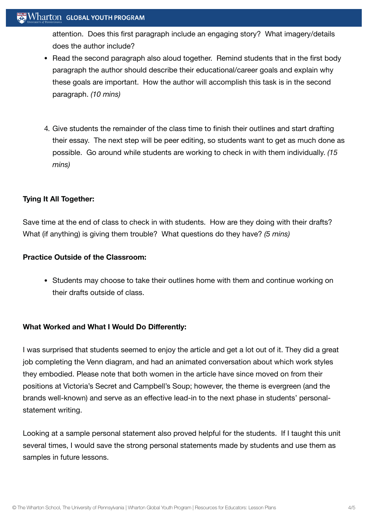attention. Does this first paragraph include an engaging story? What imagery/details does the author include?

- Read the second paragraph also aloud together. Remind students that in the first body paragraph the author should describe their educational/career goals and explain why these goals are important. How the author will accomplish this task is in the second paragraph. *(10 mins)*
- 4. Give students the remainder of the class time to finish their outlines and start drafting their essay. The next step will be peer editing, so students want to get as much done as possible. Go around while students are working to check in with them individually. *(15 mins)*

#### **Tying It All Together:**

Save time at the end of class to check in with students. How are they doing with their drafts? What (if anything) is giving them trouble? What questions do they have? *(5 mins)*

#### **Practice Outside of the Classroom:**

• Students may choose to take their outlines home with them and continue working on their drafts outside of class.

#### **What Worked and What I Would Do Differently:**

I was surprised that students seemed to enjoy the article and get a lot out of it. They did a great job completing the Venn diagram, and had an animated conversation about which work styles they embodied. Please note that both women in the article have since moved on from their positions at Victoria's Secret and Campbell's Soup; however, the theme is evergreen (and the brands well-known) and serve as an effective lead-in to the next phase in students' personalstatement writing.

Looking at a sample personal statement also proved helpful for the students. If I taught this unit several times, I would save the strong personal statements made by students and use them as samples in future lessons.